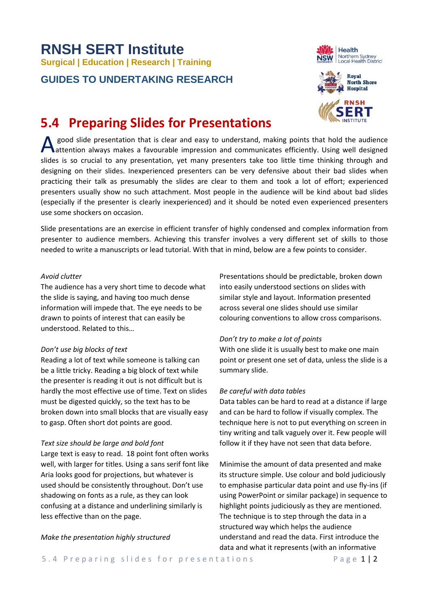# **RNSH SERT Institute Surgical | Education | Research | Training**

### **GUIDES TO UNDERTAKING RESEARCH**





## **5.4 Preparing Slides for Presentations**

A good slide presentation that is clear and easy to understand, making points that hold the audience<br>
attention always makes a favourable impression and communicates efficiently. Using well designed attention always makes a favourable impression and communicates efficiently. Using well designed slides is so crucial to any presentation, yet many presenters take too little time thinking through and designing on their slides. Inexperienced presenters can be very defensive about their bad slides when practicing their talk as presumably the slides are clear to them and took a lot of effort; experienced presenters usually show no such attachment. Most people in the audience will be kind about bad slides (especially if the presenter is clearly inexperienced) and it should be noted even experienced presenters use some shockers on occasion.

Slide presentations are an exercise in efficient transfer of highly condensed and complex information from presenter to audience members. Achieving this transfer involves a very different set of skills to those needed to write a manuscripts or lead tutorial. With that in mind, below are a few points to consider.

#### *Avoid clutter*

The audience has a very short time to decode what the slide is saying, and having too much dense information will impede that. The eye needs to be drawn to points of interest that can easily be understood. Related to this…

#### *Don't use big blocks of text*

Reading a lot of text while someone is talking can be a little tricky. Reading a big block of text while the presenter is reading it out is not difficult but is hardly the most effective use of time. Text on slides must be digested quickly, so the text has to be broken down into small blocks that are visually easy to gasp. Often short dot points are good.

#### *Text size should be large and bold font*

Large text is easy to read. 18 point font often works well, with larger for titles. Using a sans serif font like Aria looks good for projections, but whatever is used should be consistently throughout. Don't use shadowing on fonts as a rule, as they can look confusing at a distance and underlining similarly is less effective than on the page.

#### *Make the presentation highly structured*

Presentations should be predictable, broken down into easily understood sections on slides with similar style and layout. Information presented across several one slides should use similar colouring conventions to allow cross comparisons.

#### *Don't try to make a lot of points*

With one slide it is usually best to make one main point or present one set of data, unless the slide is a summary slide.

#### *Be careful with data tables*

Data tables can be hard to read at a distance if large and can be hard to follow if visually complex. The technique here is not to put everything on screen in tiny writing and talk vaguely over it. Few people will follow it if they have not seen that data before.

Minimise the amount of data presented and make its structure simple. Use colour and bold judiciously to emphasise particular data point and use fly-ins (if using PowerPoint or similar package) in sequence to highlight points judiciously as they are mentioned. The technique is to step through the data in a structured way which helps the audience understand and read the data. First introduce the data and what it represents (with an informative